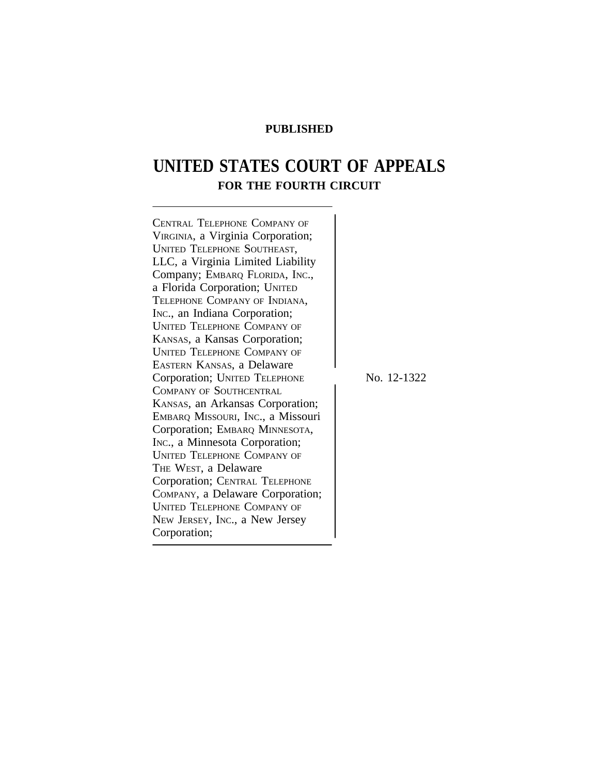# **PUBLISHED**

# **UNITED STATES COURT OF APPEALS FOR THE FOURTH CIRCUIT**

| <b>CENTRAL TELEPHONE COMPANY OF</b> |             |
|-------------------------------------|-------------|
| VIRGINIA, a Virginia Corporation;   |             |
| <b>UNITED TELEPHONE SOUTHEAST,</b>  |             |
| LLC, a Virginia Limited Liability   |             |
| Company; EMBARQ FLORIDA, INC.,      |             |
| a Florida Corporation; UNITED       |             |
| TELEPHONE COMPANY OF INDIANA,       |             |
| Inc., an Indiana Corporation;       |             |
| <b>UNITED TELEPHONE COMPANY OF</b>  |             |
| KANSAS, a Kansas Corporation;       |             |
| <b>UNITED TELEPHONE COMPANY OF</b>  |             |
| EASTERN KANSAS, a Delaware          |             |
| Corporation; UNITED TELEPHONE       | No. 12-1322 |
| COMPANY OF SOUTHCENTRAL             |             |
| KANSAS, an Arkansas Corporation;    |             |
| EMBARQ MISSOURI, INC., a Missouri   |             |
| Corporation; EMBARQ MINNESOTA,      |             |
| INC., a Minnesota Corporation;      |             |
| <b>UNITED TELEPHONE COMPANY OF</b>  |             |
| THE WEST, a Delaware                |             |
| Corporation; CENTRAL TELEPHONE      |             |
| COMPANY, a Delaware Corporation;    |             |
| <b>UNITED TELEPHONE COMPANY OF</b>  |             |
| New JERSEY, INC., a New Jersey      |             |
| Corporation;                        |             |
|                                     |             |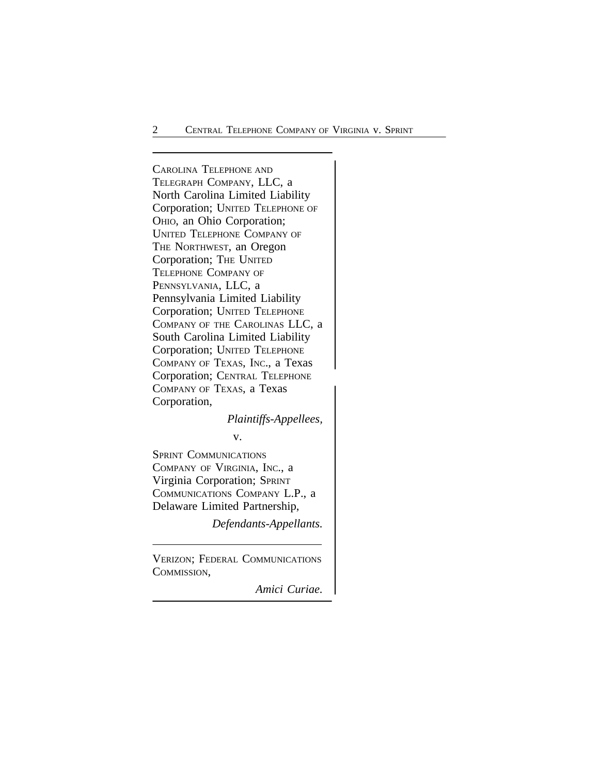<sup>C</sup>AROLINA TELEPHONE AND TELEGRAPH COMPANY, LLC, a North Carolina Limited Liability Corporation; UNITED TELEPHONE OF OHIO, an Ohio Corporation; UNITED TELEPHONE COMPANY OF THE NORTHWEST, an Oregon Corporation; THE UNITED TELEPHONE COMPANY OF PENNSYLVANIA, LLC, a Pennsylvania Limited Liability Corporation; UNITED TELEPHONE COMPANY OF THE CAROLINAS LLC, a South Carolina Limited Liability Corporation; UNITED TELEPHONE COMPANY OF TEXAS, INC., a Texas Corporation; CENTRAL TELEPHONE COMPANY OF TEXAS, a Texas Corporation,

*Plaintiffs-Appellees,*

v.

SPRINT COMMUNICATIONS COMPANY OF VIRGINIA, INC., a Virginia Corporation; SPRINT COMMUNICATIONS COMPANY L.P., a Delaware Limited Partnership,

*Defendants-Appellants.*

VERIZON; FEDERAL COMMUNICATIONS COMMISSION,

*Amici Curiae.*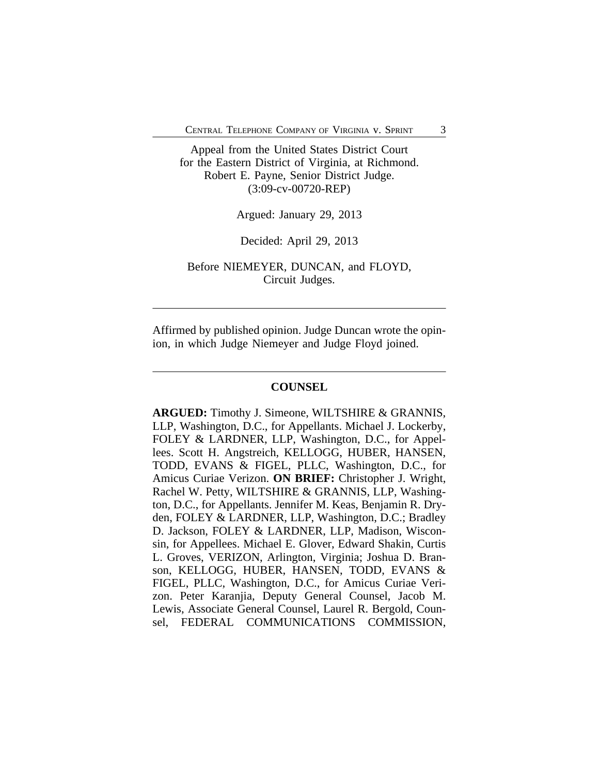Appeal from the United States District Court for the Eastern District of Virginia, at Richmond. Robert E. Payne, Senior District Judge. (3:09-cv-00720-REP)

Argued: January 29, 2013

Decided: April 29, 2013

Before NIEMEYER, DUNCAN, and FLOYD, Circuit Judges.

Affirmed by published opinion. Judge Duncan wrote the opinion, in which Judge Niemeyer and Judge Floyd joined.

#### **COUNSEL**

**ARGUED:** Timothy J. Simeone, WILTSHIRE & GRANNIS, LLP, Washington, D.C., for Appellants. Michael J. Lockerby, FOLEY & LARDNER, LLP, Washington, D.C., for Appellees. Scott H. Angstreich, KELLOGG, HUBER, HANSEN, TODD, EVANS & FIGEL, PLLC, Washington, D.C., for Amicus Curiae Verizon. **ON BRIEF:** Christopher J. Wright, Rachel W. Petty, WILTSHIRE & GRANNIS, LLP, Washington, D.C., for Appellants. Jennifer M. Keas, Benjamin R. Dryden, FOLEY & LARDNER, LLP, Washington, D.C.; Bradley D. Jackson, FOLEY & LARDNER, LLP, Madison, Wisconsin, for Appellees. Michael E. Glover, Edward Shakin, Curtis L. Groves, VERIZON, Arlington, Virginia; Joshua D. Branson, KELLOGG, HUBER, HANSEN, TODD, EVANS & FIGEL, PLLC, Washington, D.C., for Amicus Curiae Verizon. Peter Karanjia, Deputy General Counsel, Jacob M. Lewis, Associate General Counsel, Laurel R. Bergold, Counsel, FEDERAL COMMUNICATIONS COMMISSION,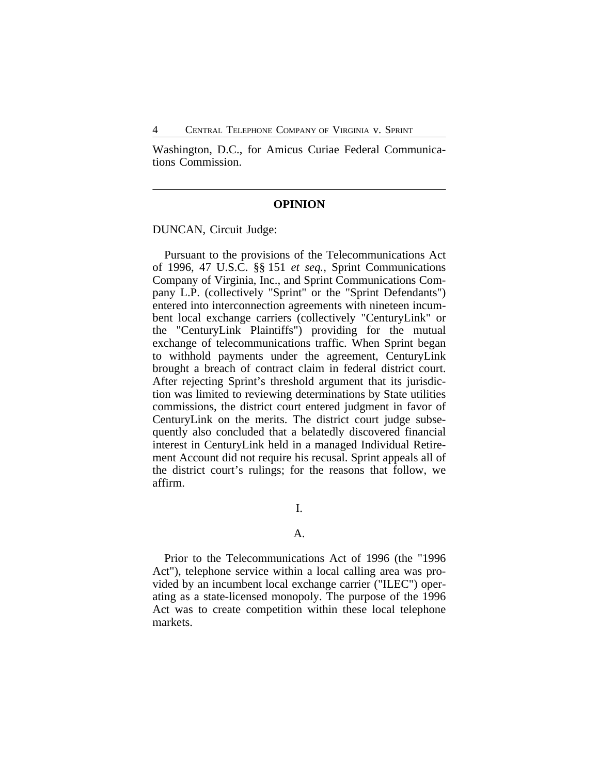4 CENTRAL TELEPHONE COMPANY OF VIRGINIA v. SPRINT

Washington, D.C., for Amicus Curiae Federal Communications Commission.

## **OPINION**

DUNCAN, Circuit Judge:

Pursuant to the provisions of the Telecommunications Act of 1996, 47 U.S.C. §§ 151 *et seq.*, Sprint Communications Company of Virginia, Inc., and Sprint Communications Company L.P. (collectively "Sprint" or the "Sprint Defendants") entered into interconnection agreements with nineteen incumbent local exchange carriers (collectively "CenturyLink" or the "CenturyLink Plaintiffs") providing for the mutual exchange of telecommunications traffic. When Sprint began to withhold payments under the agreement, CenturyLink brought a breach of contract claim in federal district court. After rejecting Sprint's threshold argument that its jurisdiction was limited to reviewing determinations by State utilities commissions, the district court entered judgment in favor of CenturyLink on the merits. The district court judge subsequently also concluded that a belatedly discovered financial interest in CenturyLink held in a managed Individual Retirement Account did not require his recusal. Sprint appeals all of the district court's rulings; for the reasons that follow, we affirm.

I.

## A.

Prior to the Telecommunications Act of 1996 (the "1996 Act"), telephone service within a local calling area was provided by an incumbent local exchange carrier ("ILEC") operating as a state-licensed monopoly. The purpose of the 1996 Act was to create competition within these local telephone markets.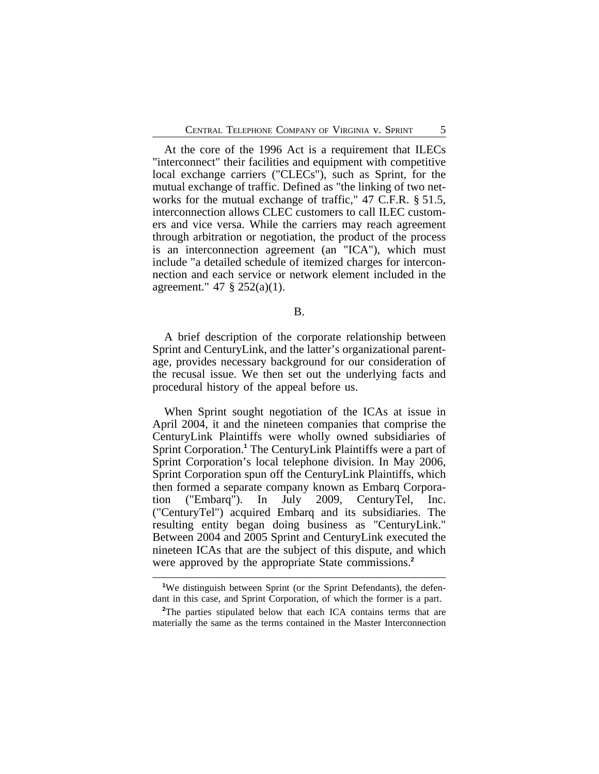At the core of the 1996 Act is a requirement that ILECs "interconnect" their facilities and equipment with competitive local exchange carriers ("CLECs"), such as Sprint, for the mutual exchange of traffic. Defined as "the linking of two networks for the mutual exchange of traffic," 47 C.F.R. § 51.5, interconnection allows CLEC customers to call ILEC customers and vice versa. While the carriers may reach agreement through arbitration or negotiation, the product of the process is an interconnection agreement (an "ICA"), which must include "a detailed schedule of itemized charges for interconnection and each service or network element included in the agreement." 47 § 252(a)(1).

### B.

A brief description of the corporate relationship between Sprint and CenturyLink, and the latter's organizational parentage, provides necessary background for our consideration of the recusal issue. We then set out the underlying facts and procedural history of the appeal before us.

When Sprint sought negotiation of the ICAs at issue in April 2004, it and the nineteen companies that comprise the CenturyLink Plaintiffs were wholly owned subsidiaries of Sprint Corporation.**<sup>1</sup>** The CenturyLink Plaintiffs were a part of Sprint Corporation's local telephone division. In May 2006, Sprint Corporation spun off the CenturyLink Plaintiffs, which then formed a separate company known as Embarq Corporation ("Embarq"). In July 2009, CenturyTel, Inc. ("CenturyTel") acquired Embarq and its subsidiaries. The resulting entity began doing business as "CenturyLink." Between 2004 and 2005 Sprint and CenturyLink executed the nineteen ICAs that are the subject of this dispute, and which were approved by the appropriate State commissions.**<sup>2</sup>**

<sup>&</sup>lt;sup>1</sup>We distinguish between Sprint (or the Sprint Defendants), the defendant in this case, and Sprint Corporation, of which the former is a part.

<sup>&</sup>lt;sup>2</sup>The parties stipulated below that each ICA contains terms that are materially the same as the terms contained in the Master Interconnection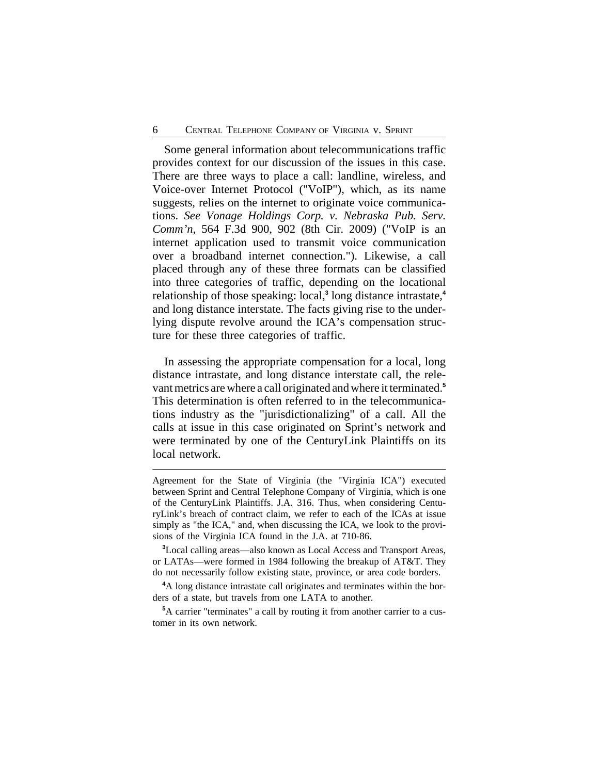Some general information about telecommunications traffic provides context for our discussion of the issues in this case. There are three ways to place a call: landline, wireless, and Voice-over Internet Protocol ("VoIP"), which, as its name suggests, relies on the internet to originate voice communications. *See Vonage Holdings Corp. v. Nebraska Pub. Serv. Comm'n*, 564 F.3d 900, 902 (8th Cir. 2009) ("VoIP is an internet application used to transmit voice communication over a broadband internet connection."). Likewise, a call placed through any of these three formats can be classified into three categories of traffic, depending on the locational relationship of those speaking: local,**<sup>3</sup>** long distance intrastate,**<sup>4</sup>** and long distance interstate. The facts giving rise to the underlying dispute revolve around the ICA's compensation structure for these three categories of traffic.

In assessing the appropriate compensation for a local, long distance intrastate, and long distance interstate call, the relevant metrics are where a call originated and where it terminated.**<sup>5</sup>** This determination is often referred to in the telecommunications industry as the "jurisdictionalizing" of a call. All the calls at issue in this case originated on Sprint's network and were terminated by one of the CenturyLink Plaintiffs on its local network.

Agreement for the State of Virginia (the "Virginia ICA") executed between Sprint and Central Telephone Company of Virginia, which is one of the CenturyLink Plaintiffs. J.A. 316. Thus, when considering CenturyLink's breach of contract claim, we refer to each of the ICAs at issue simply as "the ICA," and, when discussing the ICA, we look to the provisions of the Virginia ICA found in the J.A. at 710-86.

**<sup>3</sup>**Local calling areas—also known as Local Access and Transport Areas, or LATAs—were formed in 1984 following the breakup of AT&T. They do not necessarily follow existing state, province, or area code borders.

**<sup>4</sup>**A long distance intrastate call originates and terminates within the borders of a state, but travels from one LATA to another.

**<sup>5</sup>**A carrier "terminates" a call by routing it from another carrier to a customer in its own network.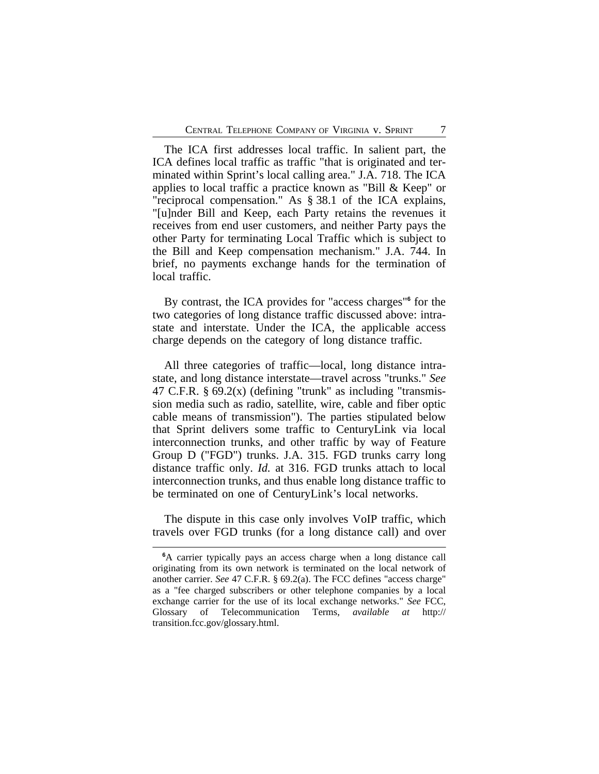The ICA first addresses local traffic. In salient part, the ICA defines local traffic as traffic "that is originated and terminated within Sprint's local calling area." J.A. 718. The ICA applies to local traffic a practice known as "Bill & Keep" or "reciprocal compensation." As § 38.1 of the ICA explains, "[u]nder Bill and Keep, each Party retains the revenues it receives from end user customers, and neither Party pays the other Party for terminating Local Traffic which is subject to the Bill and Keep compensation mechanism." J.A. 744. In brief, no payments exchange hands for the termination of local traffic.

By contrast, the ICA provides for "access charges"**<sup>6</sup>** for the two categories of long distance traffic discussed above: intrastate and interstate. Under the ICA, the applicable access charge depends on the category of long distance traffic.

All three categories of traffic—local, long distance intrastate, and long distance interstate—travel across "trunks." *See* 47 C.F.R.  $\S 69.2(x)$  (defining "trunk" as including "transmission media such as radio, satellite, wire, cable and fiber optic cable means of transmission"). The parties stipulated below that Sprint delivers some traffic to CenturyLink via local interconnection trunks, and other traffic by way of Feature Group D ("FGD") trunks. J.A. 315. FGD trunks carry long distance traffic only. *Id.* at 316. FGD trunks attach to local interconnection trunks, and thus enable long distance traffic to be terminated on one of CenturyLink's local networks.

The dispute in this case only involves VoIP traffic, which travels over FGD trunks (for a long distance call) and over

**<sup>6</sup>**A carrier typically pays an access charge when a long distance call originating from its own network is terminated on the local network of another carrier. *See* 47 C.F.R. § 69.2(a). The FCC defines "access charge" as a "fee charged subscribers or other telephone companies by a local exchange carrier for the use of its local exchange networks." *See* FCC, Glossary of Telecommunication Terms, *available at* http:// transition.fcc.gov/glossary.html.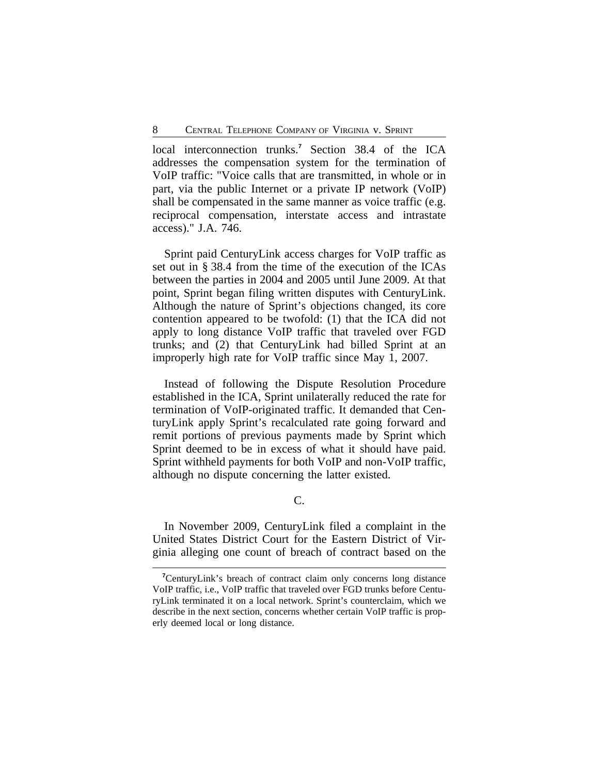local interconnection trunks.<sup>7</sup> Section 38.4 of the ICA addresses the compensation system for the termination of VoIP traffic: "Voice calls that are transmitted, in whole or in part, via the public Internet or a private IP network (VoIP) shall be compensated in the same manner as voice traffic (e.g. reciprocal compensation, interstate access and intrastate access)." J.A. 746.

Sprint paid CenturyLink access charges for VoIP traffic as set out in § 38.4 from the time of the execution of the ICAs between the parties in 2004 and 2005 until June 2009. At that point, Sprint began filing written disputes with CenturyLink. Although the nature of Sprint's objections changed, its core contention appeared to be twofold: (1) that the ICA did not apply to long distance VoIP traffic that traveled over FGD trunks; and (2) that CenturyLink had billed Sprint at an improperly high rate for VoIP traffic since May 1, 2007.

Instead of following the Dispute Resolution Procedure established in the ICA, Sprint unilaterally reduced the rate for termination of VoIP-originated traffic. It demanded that CenturyLink apply Sprint's recalculated rate going forward and remit portions of previous payments made by Sprint which Sprint deemed to be in excess of what it should have paid. Sprint withheld payments for both VoIP and non-VoIP traffic, although no dispute concerning the latter existed.

C.

In November 2009, CenturyLink filed a complaint in the United States District Court for the Eastern District of Virginia alleging one count of breach of contract based on the

**<sup>7</sup>**CenturyLink's breach of contract claim only concerns long distance VoIP traffic, i.e., VoIP traffic that traveled over FGD trunks before CenturyLink terminated it on a local network. Sprint's counterclaim, which we describe in the next section, concerns whether certain VoIP traffic is properly deemed local or long distance.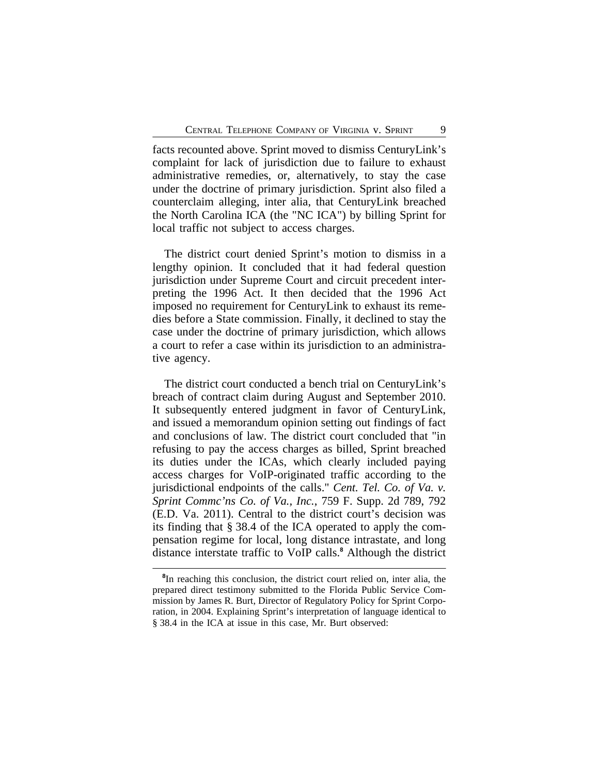facts recounted above. Sprint moved to dismiss CenturyLink's complaint for lack of jurisdiction due to failure to exhaust administrative remedies, or, alternatively, to stay the case under the doctrine of primary jurisdiction. Sprint also filed a counterclaim alleging, inter alia, that CenturyLink breached the North Carolina ICA (the "NC ICA") by billing Sprint for local traffic not subject to access charges.

The district court denied Sprint's motion to dismiss in a lengthy opinion. It concluded that it had federal question jurisdiction under Supreme Court and circuit precedent interpreting the 1996 Act. It then decided that the 1996 Act imposed no requirement for CenturyLink to exhaust its remedies before a State commission. Finally, it declined to stay the case under the doctrine of primary jurisdiction, which allows a court to refer a case within its jurisdiction to an administrative agency.

The district court conducted a bench trial on CenturyLink's breach of contract claim during August and September 2010. It subsequently entered judgment in favor of CenturyLink, and issued a memorandum opinion setting out findings of fact and conclusions of law. The district court concluded that "in refusing to pay the access charges as billed, Sprint breached its duties under the ICAs, which clearly included paying access charges for VoIP-originated traffic according to the jurisdictional endpoints of the calls." *Cent. Tel. Co. of Va. v. Sprint Commc'ns Co. of Va., Inc.*, 759 F. Supp. 2d 789, 792 (E.D. Va. 2011). Central to the district court's decision was its finding that § 38.4 of the ICA operated to apply the compensation regime for local, long distance intrastate, and long distance interstate traffic to VoIP calls.**<sup>8</sup>** Although the district

**<sup>8</sup>** In reaching this conclusion, the district court relied on, inter alia, the prepared direct testimony submitted to the Florida Public Service Commission by James R. Burt, Director of Regulatory Policy for Sprint Corporation, in 2004. Explaining Sprint's interpretation of language identical to § 38.4 in the ICA at issue in this case, Mr. Burt observed: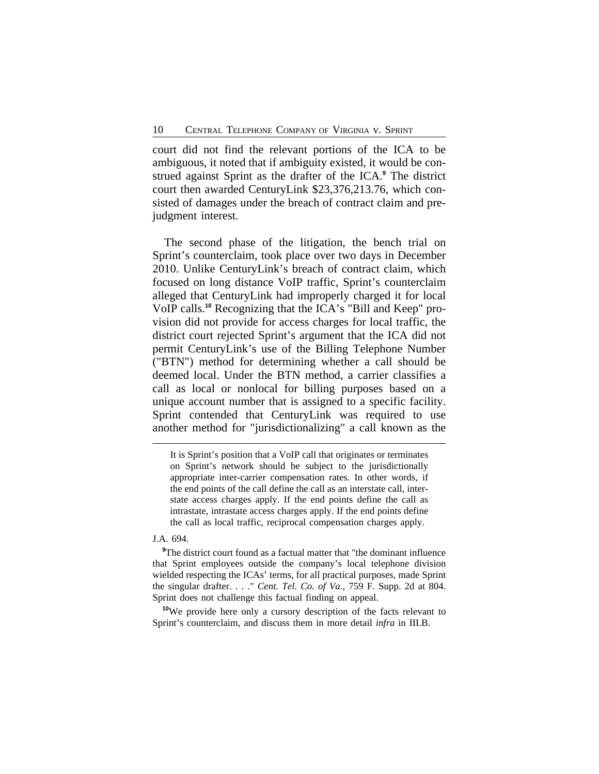court did not find the relevant portions of the ICA to be ambiguous, it noted that if ambiguity existed, it would be construed against Sprint as the drafter of the ICA.**<sup>9</sup>** The district court then awarded CenturyLink \$23,376,213.76, which consisted of damages under the breach of contract claim and prejudgment interest.

The second phase of the litigation, the bench trial on Sprint's counterclaim, took place over two days in December 2010. Unlike CenturyLink's breach of contract claim, which focused on long distance VoIP traffic, Sprint's counterclaim alleged that CenturyLink had improperly charged it for local VoIP calls.**10** Recognizing that the ICA's "Bill and Keep" provision did not provide for access charges for local traffic, the district court rejected Sprint's argument that the ICA did not permit CenturyLink's use of the Billing Telephone Number ("BTN") method for determining whether a call should be deemed local. Under the BTN method, a carrier classifies a call as local or nonlocal for billing purposes based on a unique account number that is assigned to a specific facility. Sprint contended that CenturyLink was required to use another method for "jurisdictionalizing" a call known as the

It is Sprint's position that a VoIP call that originates or terminates on Sprint's network should be subject to the jurisdictionally appropriate inter-carrier compensation rates. In other words, if the end points of the call define the call as an interstate call, interstate access charges apply. If the end points define the call as intrastate, intrastate access charges apply. If the end points define the call as local traffic, reciprocal compensation charges apply.

#### J.A. 694.

<sup>9</sup>The district court found as a factual matter that "the dominant influence that Sprint employees outside the company's local telephone division wielded respecting the ICAs' terms, for all practical purposes, made Sprint the singular drafter. . . ." *Cent. Tel. Co. of Va*., 759 F. Supp. 2d at 804. Sprint does not challenge this factual finding on appeal.

**<sup>10</sup>**We provide here only a cursory description of the facts relevant to Sprint's counterclaim, and discuss them in more detail *infra* in III.B.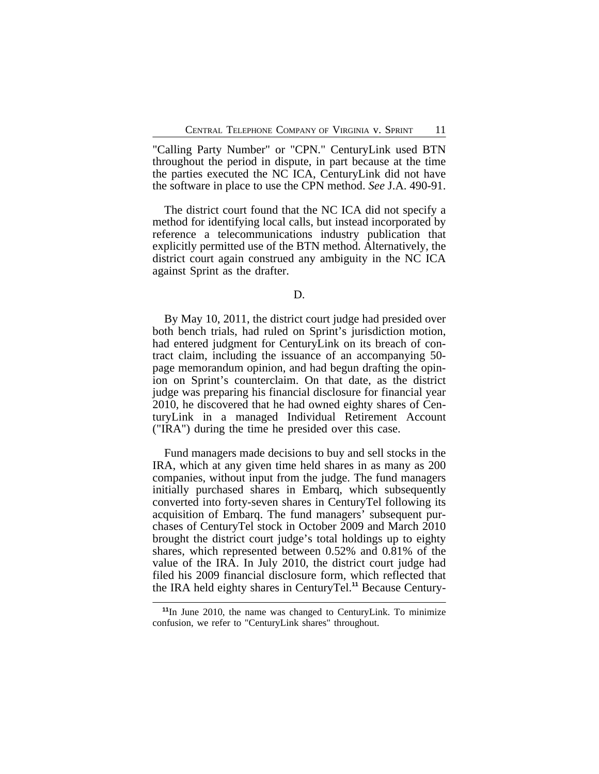"Calling Party Number" or "CPN." CenturyLink used BTN throughout the period in dispute, in part because at the time the parties executed the NC ICA, CenturyLink did not have the software in place to use the CPN method. *See* J.A. 490-91.

The district court found that the NC ICA did not specify a method for identifying local calls, but instead incorporated by reference a telecommunications industry publication that explicitly permitted use of the BTN method. Alternatively, the district court again construed any ambiguity in the NC ICA against Sprint as the drafter.

By May 10, 2011, the district court judge had presided over both bench trials, had ruled on Sprint's jurisdiction motion, had entered judgment for CenturyLink on its breach of contract claim, including the issuance of an accompanying 50 page memorandum opinion, and had begun drafting the opinion on Sprint's counterclaim. On that date, as the district judge was preparing his financial disclosure for financial year 2010, he discovered that he had owned eighty shares of CenturyLink in a managed Individual Retirement Account ("IRA") during the time he presided over this case.

Fund managers made decisions to buy and sell stocks in the IRA, which at any given time held shares in as many as 200 companies, without input from the judge. The fund managers initially purchased shares in Embarq, which subsequently converted into forty-seven shares in CenturyTel following its acquisition of Embarq. The fund managers' subsequent purchases of CenturyTel stock in October 2009 and March 2010 brought the district court judge's total holdings up to eighty shares, which represented between 0.52% and 0.81% of the value of the IRA. In July 2010, the district court judge had filed his 2009 financial disclosure form, which reflected that the IRA held eighty shares in CenturyTel.**11** Because Century-

D.

**<sup>11</sup>**In June 2010, the name was changed to CenturyLink. To minimize confusion, we refer to "CenturyLink shares" throughout.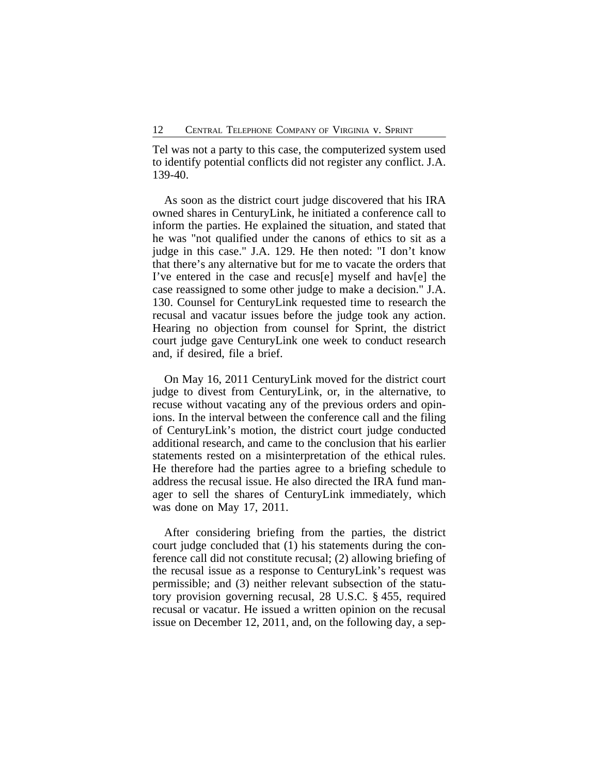Tel was not a party to this case, the computerized system used to identify potential conflicts did not register any conflict. J.A. 139-40.

As soon as the district court judge discovered that his IRA owned shares in CenturyLink, he initiated a conference call to inform the parties. He explained the situation, and stated that he was "not qualified under the canons of ethics to sit as a judge in this case." J.A. 129. He then noted: "I don't know that there's any alternative but for me to vacate the orders that I've entered in the case and recus[e] myself and hav[e] the case reassigned to some other judge to make a decision." J.A. 130. Counsel for CenturyLink requested time to research the recusal and vacatur issues before the judge took any action. Hearing no objection from counsel for Sprint, the district court judge gave CenturyLink one week to conduct research and, if desired, file a brief.

On May 16, 2011 CenturyLink moved for the district court judge to divest from CenturyLink, or, in the alternative, to recuse without vacating any of the previous orders and opinions. In the interval between the conference call and the filing of CenturyLink's motion, the district court judge conducted additional research, and came to the conclusion that his earlier statements rested on a misinterpretation of the ethical rules. He therefore had the parties agree to a briefing schedule to address the recusal issue. He also directed the IRA fund manager to sell the shares of CenturyLink immediately, which was done on May 17, 2011.

After considering briefing from the parties, the district court judge concluded that (1) his statements during the conference call did not constitute recusal; (2) allowing briefing of the recusal issue as a response to CenturyLink's request was permissible; and (3) neither relevant subsection of the statutory provision governing recusal, 28 U.S.C. § 455, required recusal or vacatur. He issued a written opinion on the recusal issue on December 12, 2011, and, on the following day, a sep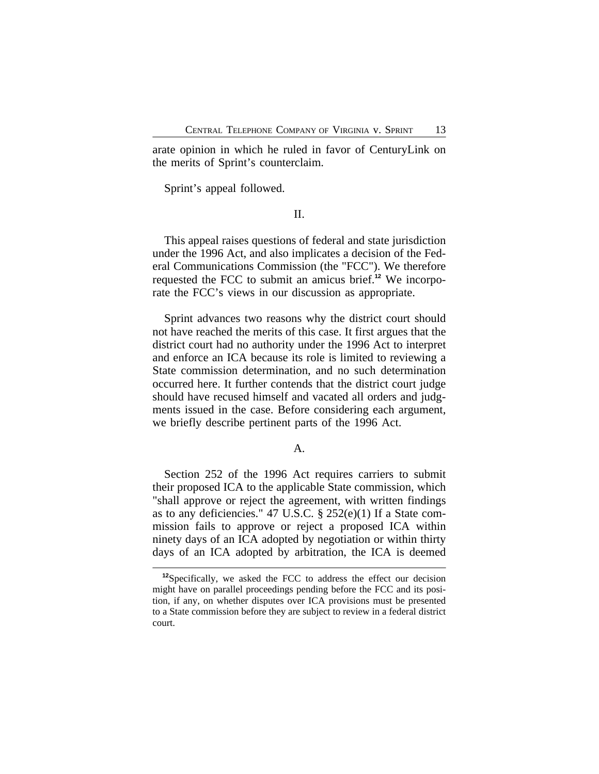arate opinion in which he ruled in favor of CenturyLink on the merits of Sprint's counterclaim.

Sprint's appeal followed.

II.

This appeal raises questions of federal and state jurisdiction under the 1996 Act, and also implicates a decision of the Federal Communications Commission (the "FCC"). We therefore requested the FCC to submit an amicus brief.**12** We incorporate the FCC's views in our discussion as appropriate.

Sprint advances two reasons why the district court should not have reached the merits of this case. It first argues that the district court had no authority under the 1996 Act to interpret and enforce an ICA because its role is limited to reviewing a State commission determination, and no such determination occurred here. It further contends that the district court judge should have recused himself and vacated all orders and judgments issued in the case. Before considering each argument, we briefly describe pertinent parts of the 1996 Act.

A.

Section 252 of the 1996 Act requires carriers to submit their proposed ICA to the applicable State commission, which "shall approve or reject the agreement, with written findings as to any deficiencies." 47 U.S.C. § 252(e)(1) If a State commission fails to approve or reject a proposed ICA within ninety days of an ICA adopted by negotiation or within thirty days of an ICA adopted by arbitration, the ICA is deemed

**<sup>12</sup>**Specifically, we asked the FCC to address the effect our decision might have on parallel proceedings pending before the FCC and its position, if any, on whether disputes over ICA provisions must be presented to a State commission before they are subject to review in a federal district court.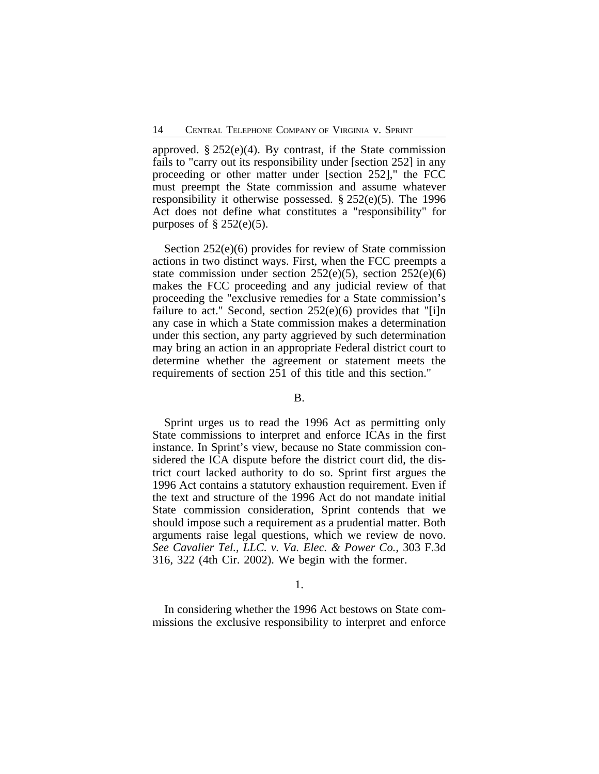approved.  $\S 252(e)(4)$ . By contrast, if the State commission fails to "carry out its responsibility under [section 252] in any proceeding or other matter under [section 252]," the FCC must preempt the State commission and assume whatever responsibility it otherwise possessed. § 252(e)(5). The 1996 Act does not define what constitutes a "responsibility" for purposes of  $\S$  252(e)(5).

Section 252(e)(6) provides for review of State commission actions in two distinct ways. First, when the FCC preempts a state commission under section  $252(e)(5)$ , section  $252(e)(6)$ makes the FCC proceeding and any judicial review of that proceeding the "exclusive remedies for a State commission's failure to act." Second, section  $252(e)(6)$  provides that "[i]n any case in which a State commission makes a determination under this section, any party aggrieved by such determination may bring an action in an appropriate Federal district court to determine whether the agreement or statement meets the requirements of section 251 of this title and this section."

## B.

Sprint urges us to read the 1996 Act as permitting only State commissions to interpret and enforce ICAs in the first instance. In Sprint's view, because no State commission considered the ICA dispute before the district court did, the district court lacked authority to do so. Sprint first argues the 1996 Act contains a statutory exhaustion requirement. Even if the text and structure of the 1996 Act do not mandate initial State commission consideration, Sprint contends that we should impose such a requirement as a prudential matter. Both arguments raise legal questions, which we review de novo. *See Cavalier Tel., LLC. v. Va. Elec. & Power Co.*, 303 F.3d 316, 322 (4th Cir. 2002). We begin with the former.

#### 1.

In considering whether the 1996 Act bestows on State commissions the exclusive responsibility to interpret and enforce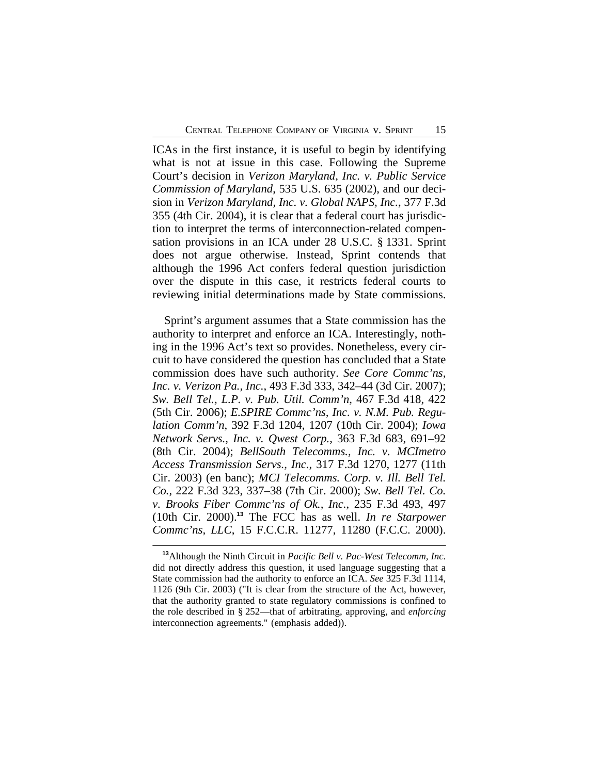ICAs in the first instance, it is useful to begin by identifying what is not at issue in this case. Following the Supreme Court's decision in *Verizon Maryland, Inc. v. Public Service Commission of Maryland*, 535 U.S. 635 (2002), and our decision in *Verizon Maryland, Inc. v. Global NAPS, Inc.*, 377 F.3d 355 (4th Cir. 2004), it is clear that a federal court has jurisdiction to interpret the terms of interconnection-related compensation provisions in an ICA under 28 U.S.C. § 1331. Sprint does not argue otherwise. Instead, Sprint contends that although the 1996 Act confers federal question jurisdiction over the dispute in this case, it restricts federal courts to reviewing initial determinations made by State commissions.

Sprint's argument assumes that a State commission has the authority to interpret and enforce an ICA. Interestingly, nothing in the 1996 Act's text so provides. Nonetheless, every circuit to have considered the question has concluded that a State commission does have such authority. *See Core Commc'ns, Inc. v. Verizon Pa., Inc.*, 493 F.3d 333, 342–44 (3d Cir. 2007); *Sw. Bell Tel., L.P. v. Pub. Util. Comm'n*, 467 F.3d 418, 422 (5th Cir. 2006); *E.SPIRE Commc'ns, Inc. v. N.M. Pub. Regulation Comm'n*, 392 F.3d 1204, 1207 (10th Cir. 2004); *Iowa Network Servs., Inc. v. Qwest Corp.*, 363 F.3d 683, 691–92 (8th Cir. 2004); *BellSouth Telecomms., Inc. v. MCImetro Access Transmission Servs., Inc.*, 317 F.3d 1270, 1277 (11th Cir. 2003) (en banc); *MCI Telecomms. Corp. v. Ill. Bell Tel. Co.*, 222 F.3d 323, 337–38 (7th Cir. 2000); *Sw. Bell Tel. Co. v. Brooks Fiber Commc'ns of Ok., Inc.*, 235 F.3d 493, 497 (10th Cir. 2000).**<sup>13</sup>** The FCC has as well. *In re Starpower Commc'ns, LLC*, 15 F.C.C.R. 11277, 11280 (F.C.C. 2000).

**<sup>13</sup>**Although the Ninth Circuit in *Pacific Bell v. Pac-West Telecomm, Inc.* did not directly address this question, it used language suggesting that a State commission had the authority to enforce an ICA. *See* 325 F.3d 1114, 1126 (9th Cir. 2003) ("It is clear from the structure of the Act, however, that the authority granted to state regulatory commissions is confined to the role described in § 252—that of arbitrating, approving, and *enforcing* interconnection agreements." (emphasis added)).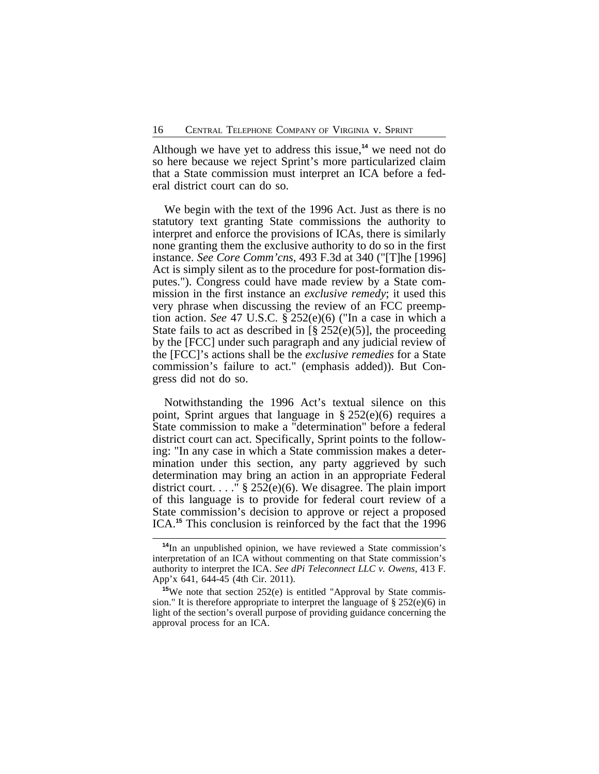Although we have yet to address this issue,**<sup>14</sup>** we need not do so here because we reject Sprint's more particularized claim that a State commission must interpret an ICA before a federal district court can do so.

We begin with the text of the 1996 Act. Just as there is no statutory text granting State commissions the authority to interpret and enforce the provisions of ICAs, there is similarly none granting them the exclusive authority to do so in the first instance. *See Core Comm'cns*, 493 F.3d at 340 ("[T]he [1996] Act is simply silent as to the procedure for post-formation disputes."). Congress could have made review by a State commission in the first instance an *exclusive remedy*; it used this very phrase when discussing the review of an FCC preemption action. *See* 47 U.S.C. § 252(e)(6) ("In a case in which a State fails to act as described in  $[\S 252(e)(5)]$ , the proceeding by the [FCC] under such paragraph and any judicial review of the [FCC]'s actions shall be the *exclusive remedies* for a State commission's failure to act." (emphasis added)). But Congress did not do so.

Notwithstanding the 1996 Act's textual silence on this point, Sprint argues that language in § 252(e)(6) requires a State commission to make a "determination" before a federal district court can act. Specifically, Sprint points to the following: "In any case in which a State commission makes a determination under this section, any party aggrieved by such determination may bring an action in an appropriate Federal district court. . . . "  $\S$  252(e)(6). We disagree. The plain import of this language is to provide for federal court review of a State commission's decision to approve or reject a proposed ICA.**<sup>15</sup>** This conclusion is reinforced by the fact that the 1996

**<sup>14</sup>**In an unpublished opinion, we have reviewed a State commission's interpretation of an ICA without commenting on that State commission's authority to interpret the ICA. *See dPi Teleconnect LLC v. Owens*, 413 F. App'x 641, 644-45 (4th Cir. 2011).

<sup>&</sup>lt;sup>15</sup>We note that section 252(e) is entitled "Approval by State commission." It is therefore appropriate to interpret the language of  $\S 252(e)(6)$  in light of the section's overall purpose of providing guidance concerning the approval process for an ICA.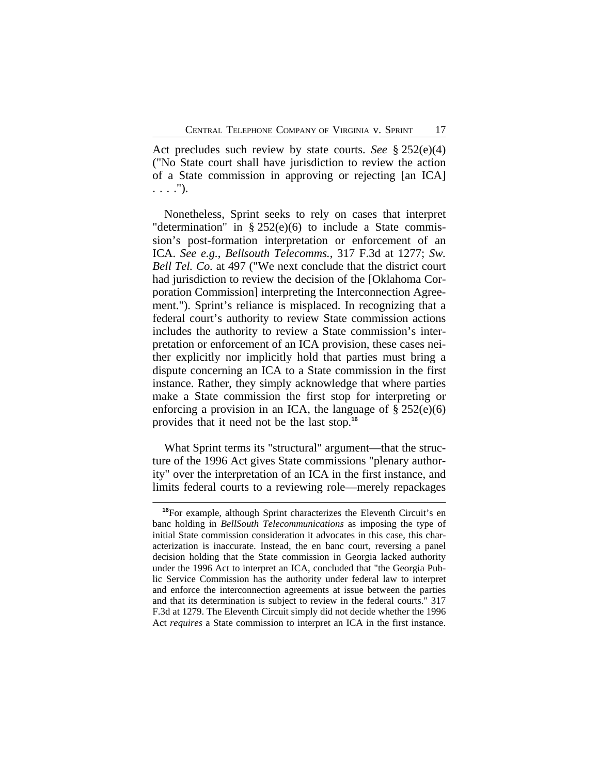Act precludes such review by state courts. *See* § 252(e)(4) ("No State court shall have jurisdiction to review the action of a State commission in approving or rejecting [an ICA] . . . .").

Nonetheless, Sprint seeks to rely on cases that interpret "determination" in  $\S 252(e)(6)$  to include a State commission's post-formation interpretation or enforcement of an ICA. *See e.g.*, *Bellsouth Telecomms.*, 317 F.3d at 1277; *Sw. Bell Tel. Co.* at 497 ("We next conclude that the district court had jurisdiction to review the decision of the [Oklahoma Corporation Commission] interpreting the Interconnection Agreement."). Sprint's reliance is misplaced. In recognizing that a federal court's authority to review State commission actions includes the authority to review a State commission's interpretation or enforcement of an ICA provision, these cases neither explicitly nor implicitly hold that parties must bring a dispute concerning an ICA to a State commission in the first instance. Rather, they simply acknowledge that where parties make a State commission the first stop for interpreting or enforcing a provision in an ICA, the language of  $\S 252(e)(6)$ provides that it need not be the last stop.**<sup>16</sup>**

What Sprint terms its "structural" argument—that the structure of the 1996 Act gives State commissions "plenary authority" over the interpretation of an ICA in the first instance, and limits federal courts to a reviewing role—merely repackages

**<sup>16</sup>**For example, although Sprint characterizes the Eleventh Circuit's en banc holding in *BellSouth Telecommunications* as imposing the type of initial State commission consideration it advocates in this case, this characterization is inaccurate. Instead, the en banc court, reversing a panel decision holding that the State commission in Georgia lacked authority under the 1996 Act to interpret an ICA, concluded that "the Georgia Public Service Commission has the authority under federal law to interpret and enforce the interconnection agreements at issue between the parties and that its determination is subject to review in the federal courts." 317 F.3d at 1279. The Eleventh Circuit simply did not decide whether the 1996 Act *requires* a State commission to interpret an ICA in the first instance.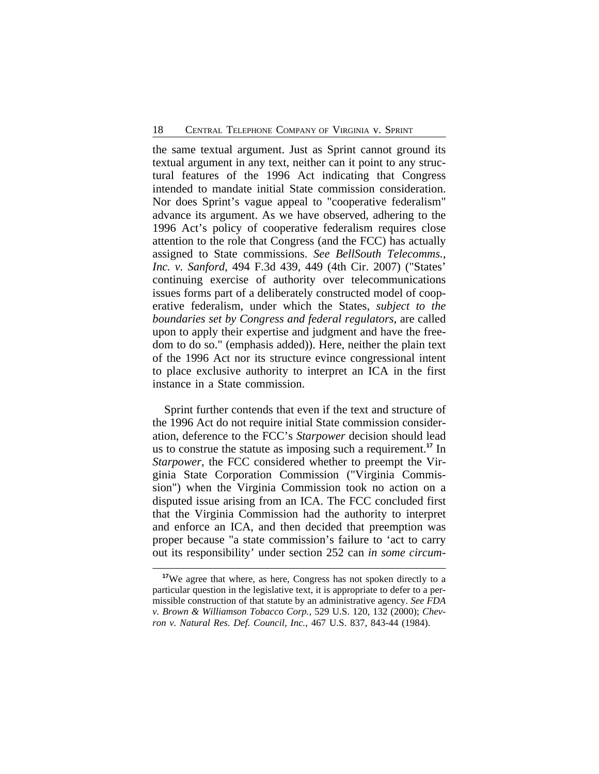the same textual argument. Just as Sprint cannot ground its textual argument in any text, neither can it point to any structural features of the 1996 Act indicating that Congress intended to mandate initial State commission consideration. Nor does Sprint's vague appeal to "cooperative federalism" advance its argument. As we have observed, adhering to the 1996 Act's policy of cooperative federalism requires close attention to the role that Congress (and the FCC) has actually assigned to State commissions. *See BellSouth Telecomms., Inc. v. Sanford*, 494 F.3d 439, 449 (4th Cir. 2007) ("States' continuing exercise of authority over telecommunications issues forms part of a deliberately constructed model of cooperative federalism, under which the States, *subject to the boundaries set by Congress and federal regulators*, are called upon to apply their expertise and judgment and have the freedom to do so." (emphasis added)). Here, neither the plain text of the 1996 Act nor its structure evince congressional intent to place exclusive authority to interpret an ICA in the first instance in a State commission.

Sprint further contends that even if the text and structure of the 1996 Act do not require initial State commission consideration, deference to the FCC's *Starpower* decision should lead us to construe the statute as imposing such a requirement.**<sup>17</sup>** In *Starpower*, the FCC considered whether to preempt the Virginia State Corporation Commission ("Virginia Commission") when the Virginia Commission took no action on a disputed issue arising from an ICA. The FCC concluded first that the Virginia Commission had the authority to interpret and enforce an ICA, and then decided that preemption was proper because "a state commission's failure to 'act to carry out its responsibility' under section 252 can *in some circum-*

<sup>&</sup>lt;sup>17</sup>We agree that where, as here, Congress has not spoken directly to a particular question in the legislative text, it is appropriate to defer to a permissible construction of that statute by an administrative agency. *See FDA v. Brown & Williamson Tobacco Corp.*, 529 U.S. 120, 132 (2000); *Chevron v. Natural Res. Def. Council, Inc.*, 467 U.S. 837, 843-44 (1984).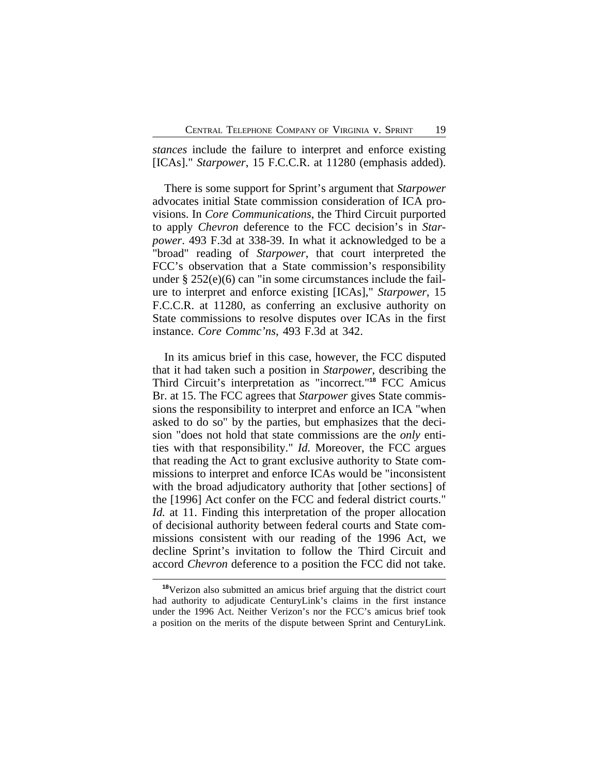*stances* include the failure to interpret and enforce existing [ICAs]." *Starpower*, 15 F.C.C.R. at 11280 (emphasis added).

There is some support for Sprint's argument that *Starpower* advocates initial State commission consideration of ICA provisions. In *Core Communications*, the Third Circuit purported to apply *Chevron* deference to the FCC decision's in *Starpower*. 493 F.3d at 338-39. In what it acknowledged to be a "broad" reading of *Starpower*, that court interpreted the FCC's observation that a State commission's responsibility under § 252(e)(6) can "in some circumstances include the failure to interpret and enforce existing [ICAs]," *Starpower*, 15 F.C.C.R. at 11280, as conferring an exclusive authority on State commissions to resolve disputes over ICAs in the first instance. *Core Commc'ns*, 493 F.3d at 342.

In its amicus brief in this case, however, the FCC disputed that it had taken such a position in *Starpower*, describing the Third Circuit's interpretation as "incorrect."**<sup>18</sup>** FCC Amicus Br. at 15. The FCC agrees that *Starpower* gives State commissions the responsibility to interpret and enforce an ICA "when asked to do so" by the parties, but emphasizes that the decision "does not hold that state commissions are the *only* entities with that responsibility." *Id.* Moreover, the FCC argues that reading the Act to grant exclusive authority to State commissions to interpret and enforce ICAs would be "inconsistent with the broad adjudicatory authority that [other sections] of the [1996] Act confer on the FCC and federal district courts." *Id.* at 11. Finding this interpretation of the proper allocation of decisional authority between federal courts and State commissions consistent with our reading of the 1996 Act, we decline Sprint's invitation to follow the Third Circuit and accord *Chevron* deference to a position the FCC did not take.

**<sup>18</sup>**Verizon also submitted an amicus brief arguing that the district court had authority to adjudicate CenturyLink's claims in the first instance under the 1996 Act. Neither Verizon's nor the FCC's amicus brief took a position on the merits of the dispute between Sprint and CenturyLink.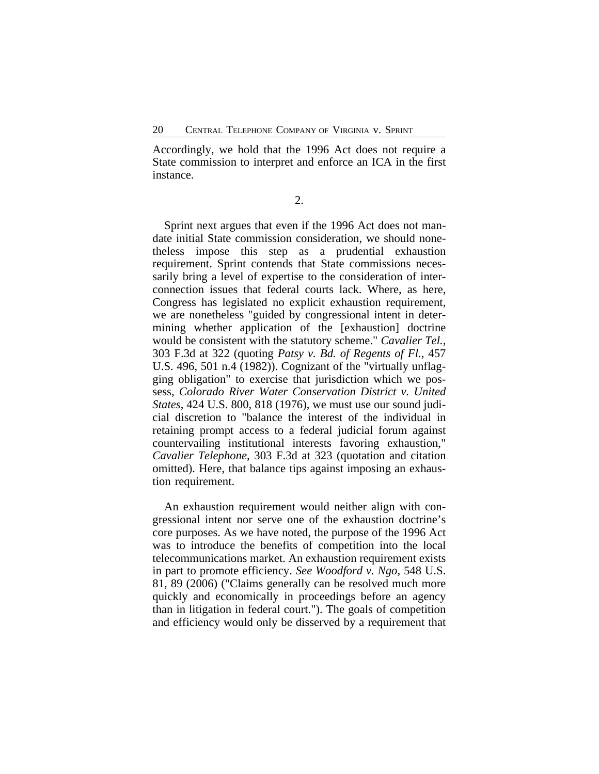Accordingly, we hold that the 1996 Act does not require a State commission to interpret and enforce an ICA in the first instance.

2.

Sprint next argues that even if the 1996 Act does not mandate initial State commission consideration, we should nonetheless impose this step as a prudential exhaustion requirement. Sprint contends that State commissions necessarily bring a level of expertise to the consideration of interconnection issues that federal courts lack. Where, as here, Congress has legislated no explicit exhaustion requirement, we are nonetheless "guided by congressional intent in determining whether application of the [exhaustion] doctrine would be consistent with the statutory scheme." *Cavalier Tel.*, 303 F.3d at 322 (quoting *Patsy v. Bd. of Regents of Fl.*, 457 U.S. 496, 501 n.4 (1982)). Cognizant of the "virtually unflagging obligation" to exercise that jurisdiction which we possess, *Colorado River Water Conservation District v. United States*, 424 U.S. 800, 818 (1976), we must use our sound judicial discretion to "balance the interest of the individual in retaining prompt access to a federal judicial forum against countervailing institutional interests favoring exhaustion," *Cavalier Telephone*, 303 F.3d at 323 (quotation and citation omitted). Here, that balance tips against imposing an exhaustion requirement.

An exhaustion requirement would neither align with congressional intent nor serve one of the exhaustion doctrine's core purposes. As we have noted, the purpose of the 1996 Act was to introduce the benefits of competition into the local telecommunications market. An exhaustion requirement exists in part to promote efficiency. *See Woodford v. Ngo*, 548 U.S. 81, 89 (2006) ("Claims generally can be resolved much more quickly and economically in proceedings before an agency than in litigation in federal court."). The goals of competition and efficiency would only be disserved by a requirement that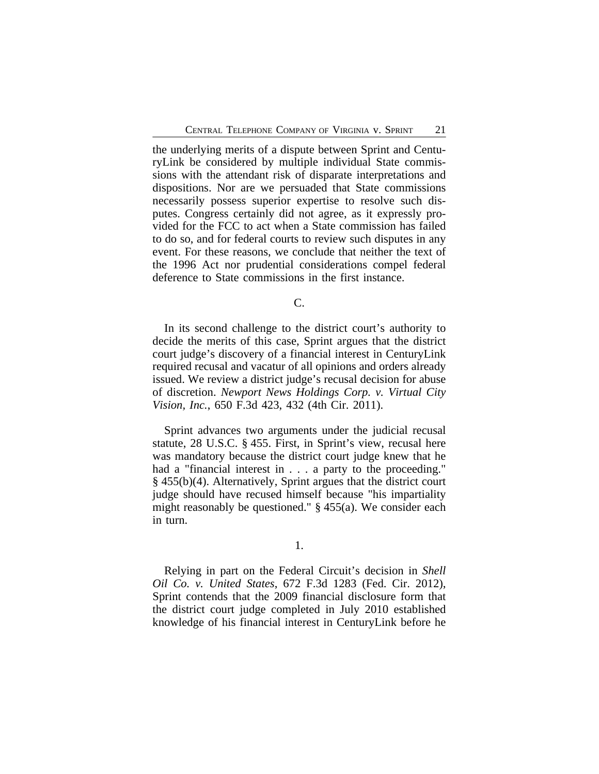the underlying merits of a dispute between Sprint and CenturyLink be considered by multiple individual State commissions with the attendant risk of disparate interpretations and dispositions. Nor are we persuaded that State commissions necessarily possess superior expertise to resolve such disputes. Congress certainly did not agree, as it expressly provided for the FCC to act when a State commission has failed to do so, and for federal courts to review such disputes in any event. For these reasons, we conclude that neither the text of the 1996 Act nor prudential considerations compel federal deference to State commissions in the first instance.

 $\mathcal{C}$ .

In its second challenge to the district court's authority to decide the merits of this case, Sprint argues that the district court judge's discovery of a financial interest in CenturyLink required recusal and vacatur of all opinions and orders already issued. We review a district judge's recusal decision for abuse of discretion. *Newport News Holdings Corp. v. Virtual City Vision, Inc.*, 650 F.3d 423, 432 (4th Cir. 2011).

Sprint advances two arguments under the judicial recusal statute, 28 U.S.C. § 455. First, in Sprint's view, recusal here was mandatory because the district court judge knew that he had a "financial interest in . . . a party to the proceeding." § 455(b)(4). Alternatively, Sprint argues that the district court judge should have recused himself because "his impartiality might reasonably be questioned." § 455(a). We consider each in turn.

1.

Relying in part on the Federal Circuit's decision in *Shell Oil Co. v. United States*, 672 F.3d 1283 (Fed. Cir. 2012), Sprint contends that the 2009 financial disclosure form that the district court judge completed in July 2010 established knowledge of his financial interest in CenturyLink before he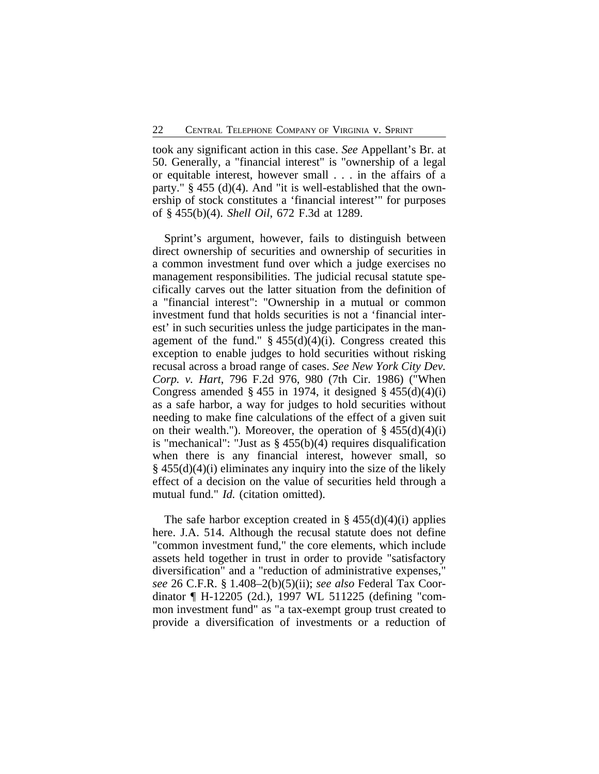took any significant action in this case. *See* Appellant's Br. at 50. Generally, a "financial interest" is "ownership of a legal or equitable interest, however small . . . in the affairs of a party."  $\S$  455 (d)(4). And "it is well-established that the ownership of stock constitutes a 'financial interest'" for purposes of § 455(b)(4). *Shell Oil*, 672 F.3d at 1289.

Sprint's argument, however, fails to distinguish between direct ownership of securities and ownership of securities in a common investment fund over which a judge exercises no management responsibilities. The judicial recusal statute specifically carves out the latter situation from the definition of a "financial interest": "Ownership in a mutual or common investment fund that holds securities is not a 'financial interest' in such securities unless the judge participates in the management of the fund."  $\S$  455(d)(4)(i). Congress created this exception to enable judges to hold securities without risking recusal across a broad range of cases. *See New York City Dev. Corp. v. Hart*, 796 F.2d 976, 980 (7th Cir. 1986) ("When Congress amended  $\S 455$  in 1974, it designed  $\S 455(d)(4)(i)$ as a safe harbor, a way for judges to hold securities without needing to make fine calculations of the effect of a given suit on their wealth."). Moreover, the operation of  $\S 455(d)(4)(i)$ is "mechanical": "Just as  $\S$  455(b)(4) requires disqualification when there is any financial interest, however small, so  $\S$  455(d)(4)(i) eliminates any inquiry into the size of the likely effect of a decision on the value of securities held through a mutual fund." *Id.* (citation omitted).

The safe harbor exception created in  $\S 455(d)(4)(i)$  applies here. J.A. 514. Although the recusal statute does not define "common investment fund," the core elements, which include assets held together in trust in order to provide "satisfactory diversification" and a "reduction of administrative expenses," *see* 26 C.F.R. § 1.408–2(b)(5)(ii); *see also* Federal Tax Coordinator ¶ H-12205 (2d.), 1997 WL 511225 (defining "common investment fund" as "a tax-exempt group trust created to provide a diversification of investments or a reduction of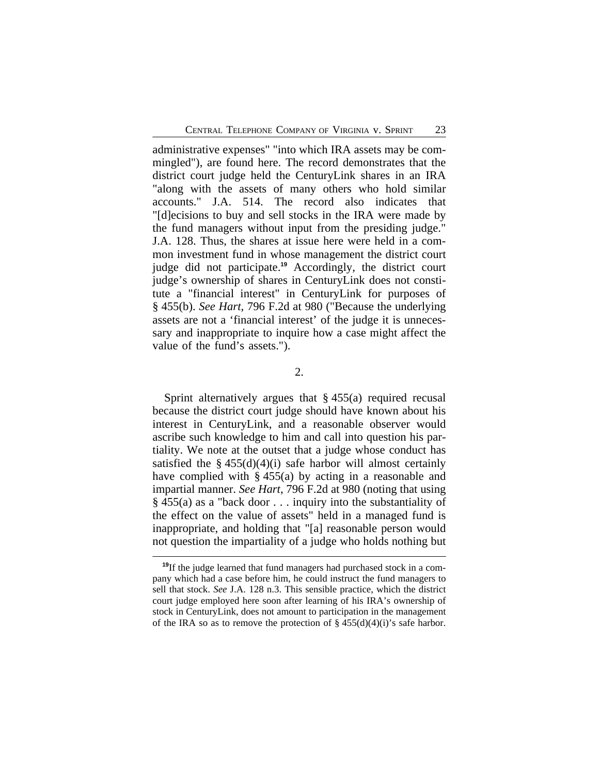administrative expenses" "into which IRA assets may be commingled"), are found here. The record demonstrates that the district court judge held the CenturyLink shares in an IRA "along with the assets of many others who hold similar accounts." J.A. 514. The record also indicates that "[d]ecisions to buy and sell stocks in the IRA were made by the fund managers without input from the presiding judge." J.A. 128. Thus, the shares at issue here were held in a common investment fund in whose management the district court judge did not participate.**<sup>19</sup>** Accordingly, the district court judge's ownership of shares in CenturyLink does not constitute a "financial interest" in CenturyLink for purposes of § 455(b). *See Hart*, 796 F.2d at 980 ("Because the underlying assets are not a 'financial interest' of the judge it is unnecessary and inappropriate to inquire how a case might affect the value of the fund's assets.").

2.

Sprint alternatively argues that § 455(a) required recusal because the district court judge should have known about his interest in CenturyLink, and a reasonable observer would ascribe such knowledge to him and call into question his partiality. We note at the outset that a judge whose conduct has satisfied the  $§$  455(d)(4)(i) safe harbor will almost certainly have complied with  $\S 455(a)$  by acting in a reasonable and impartial manner. *See Hart*, 796 F.2d at 980 (noting that using § 455(a) as a "back door . . . inquiry into the substantiality of the effect on the value of assets" held in a managed fund is inappropriate, and holding that "[a] reasonable person would not question the impartiality of a judge who holds nothing but

**<sup>19</sup>**If the judge learned that fund managers had purchased stock in a company which had a case before him, he could instruct the fund managers to sell that stock. *See* J.A. 128 n.3. This sensible practice, which the district court judge employed here soon after learning of his IRA's ownership of stock in CenturyLink, does not amount to participation in the management of the IRA so as to remove the protection of  $\S 455(d)(4)(i)$ 's safe harbor.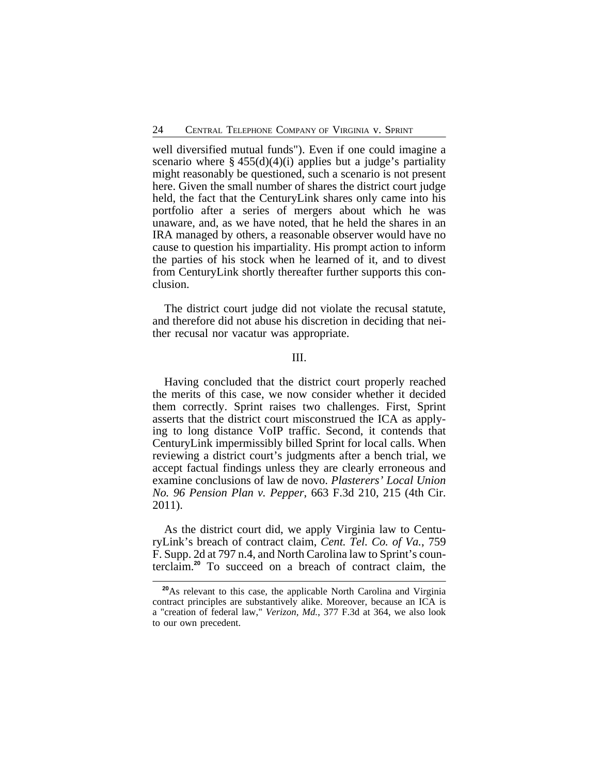well diversified mutual funds"). Even if one could imagine a scenario where  $\S 455(d)(4)(i)$  applies but a judge's partiality might reasonably be questioned, such a scenario is not present here. Given the small number of shares the district court judge held, the fact that the CenturyLink shares only came into his portfolio after a series of mergers about which he was unaware, and, as we have noted, that he held the shares in an IRA managed by others, a reasonable observer would have no cause to question his impartiality. His prompt action to inform the parties of his stock when he learned of it, and to divest from CenturyLink shortly thereafter further supports this conclusion.

The district court judge did not violate the recusal statute, and therefore did not abuse his discretion in deciding that neither recusal nor vacatur was appropriate.

#### III.

Having concluded that the district court properly reached the merits of this case, we now consider whether it decided them correctly. Sprint raises two challenges. First, Sprint asserts that the district court misconstrued the ICA as applying to long distance VoIP traffic. Second, it contends that CenturyLink impermissibly billed Sprint for local calls. When reviewing a district court's judgments after a bench trial, we accept factual findings unless they are clearly erroneous and examine conclusions of law de novo. *Plasterers' Local Union No. 96 Pension Plan v. Pepper*, 663 F.3d 210, 215 (4th Cir. 2011).

As the district court did, we apply Virginia law to CenturyLink's breach of contract claim, *Cent. Tel. Co. of Va.*, 759 F. Supp. 2d at 797 n.4, and North Carolina law to Sprint's counterclaim.**<sup>20</sup>** To succeed on a breach of contract claim, the

**<sup>20</sup>**As relevant to this case, the applicable North Carolina and Virginia contract principles are substantively alike. Moreover, because an ICA is a "creation of federal law," *Verizon, Md.*, 377 F.3d at 364, we also look to our own precedent.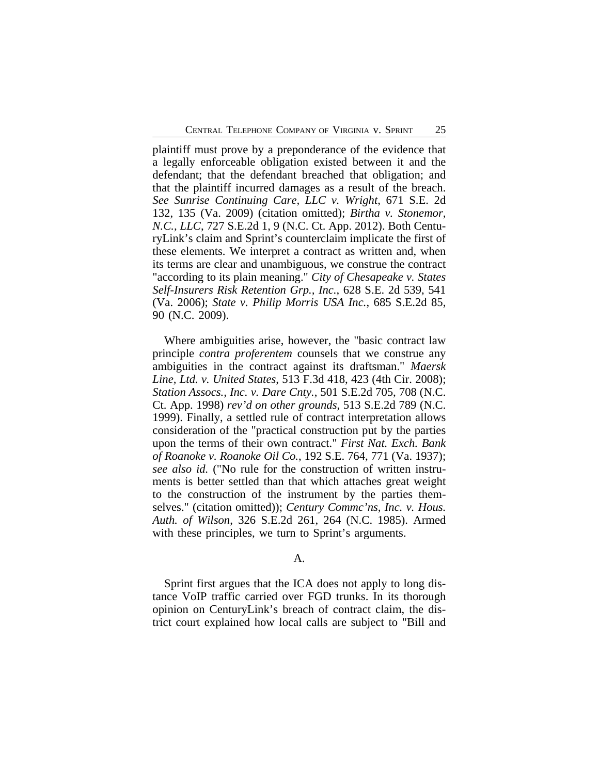plaintiff must prove by a preponderance of the evidence that a legally enforceable obligation existed between it and the defendant; that the defendant breached that obligation; and that the plaintiff incurred damages as a result of the breach. *See Sunrise Continuing Care, LLC v. Wright*, 671 S.E. 2d 132, 135 (Va. 2009) (citation omitted); *Birtha v. Stonemor, N.C., LLC*, 727 S.E.2d 1, 9 (N.C. Ct. App. 2012). Both CenturyLink's claim and Sprint's counterclaim implicate the first of these elements. We interpret a contract as written and, when its terms are clear and unambiguous, we construe the contract "according to its plain meaning." *City of Chesapeake v. States Self-Insurers Risk Retention Grp., Inc.*, 628 S.E. 2d 539, 541 (Va. 2006); *State v. Philip Morris USA Inc.*, 685 S.E.2d 85, 90 (N.C. 2009).

Where ambiguities arise, however, the "basic contract law principle *contra proferentem* counsels that we construe any ambiguities in the contract against its draftsman." *Maersk Line, Ltd. v. United States*, 513 F.3d 418, 423 (4th Cir. 2008); *Station Assocs., Inc. v. Dare Cnty.*, 501 S.E.2d 705, 708 (N.C. Ct. App. 1998) *rev'd on other grounds*, 513 S.E.2d 789 (N.C. 1999). Finally, a settled rule of contract interpretation allows consideration of the "practical construction put by the parties upon the terms of their own contract." *First Nat. Exch. Bank of Roanoke v. Roanoke Oil Co.*, 192 S.E. 764, 771 (Va. 1937); *see also id.* ("No rule for the construction of written instruments is better settled than that which attaches great weight to the construction of the instrument by the parties themselves." (citation omitted)); *Century Commc'ns, Inc. v. Hous. Auth. of Wilson*, 326 S.E.2d 261, 264 (N.C. 1985). Armed with these principles, we turn to Sprint's arguments.

# A.

Sprint first argues that the ICA does not apply to long distance VoIP traffic carried over FGD trunks. In its thorough opinion on CenturyLink's breach of contract claim, the district court explained how local calls are subject to "Bill and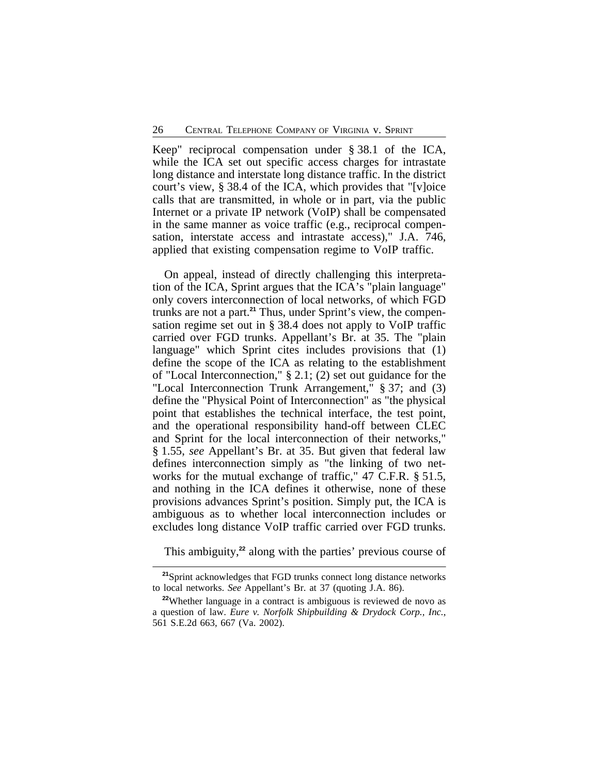Keep" reciprocal compensation under § 38.1 of the ICA, while the ICA set out specific access charges for intrastate long distance and interstate long distance traffic. In the district court's view, § 38.4 of the ICA, which provides that "[v]oice calls that are transmitted, in whole or in part, via the public Internet or a private IP network (VoIP) shall be compensated in the same manner as voice traffic (e.g., reciprocal compensation, interstate access and intrastate access)," J.A. 746, applied that existing compensation regime to VoIP traffic.

On appeal, instead of directly challenging this interpretation of the ICA, Sprint argues that the ICA's "plain language" only covers interconnection of local networks, of which FGD trunks are not a part.**21** Thus, under Sprint's view, the compensation regime set out in § 38.4 does not apply to VoIP traffic carried over FGD trunks. Appellant's Br. at 35. The "plain language" which Sprint cites includes provisions that (1) define the scope of the ICA as relating to the establishment of "Local Interconnection," § 2.1; (2) set out guidance for the "Local Interconnection Trunk Arrangement," § 37; and (3) define the "Physical Point of Interconnection" as "the physical point that establishes the technical interface, the test point, and the operational responsibility hand-off between CLEC and Sprint for the local interconnection of their networks," § 1.55, *see* Appellant's Br. at 35. But given that federal law defines interconnection simply as "the linking of two networks for the mutual exchange of traffic," 47 C.F.R. § 51.5, and nothing in the ICA defines it otherwise, none of these provisions advances Sprint's position. Simply put, the ICA is ambiguous as to whether local interconnection includes or excludes long distance VoIP traffic carried over FGD trunks.

This ambiguity,<sup>22</sup> along with the parties' previous course of

**<sup>21</sup>**Sprint acknowledges that FGD trunks connect long distance networks to local networks. *See* Appellant's Br. at 37 (quoting J.A. 86).

<sup>&</sup>lt;sup>22</sup>Whether language in a contract is ambiguous is reviewed de novo as a question of law. *Eure v. Norfolk Shipbuilding & Drydock Corp., Inc.*, 561 S.E.2d 663, 667 (Va. 2002).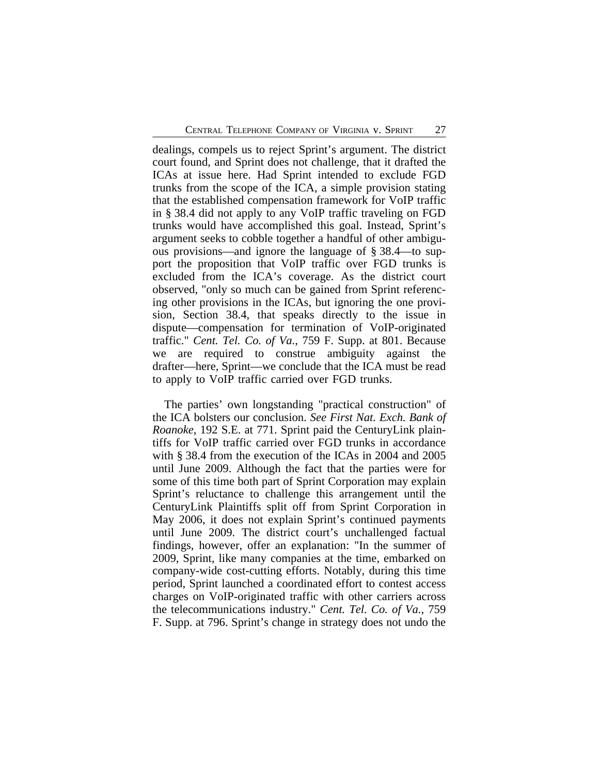dealings, compels us to reject Sprint's argument. The district court found, and Sprint does not challenge, that it drafted the ICAs at issue here. Had Sprint intended to exclude FGD trunks from the scope of the ICA, a simple provision stating that the established compensation framework for VoIP traffic in § 38.4 did not apply to any VoIP traffic traveling on FGD trunks would have accomplished this goal. Instead, Sprint's argument seeks to cobble together a handful of other ambiguous provisions—and ignore the language of § 38.4—to support the proposition that VoIP traffic over FGD trunks is excluded from the ICA's coverage. As the district court observed, "only so much can be gained from Sprint referencing other provisions in the ICAs, but ignoring the one provision, Section 38.4, that speaks directly to the issue in dispute—compensation for termination of VoIP-originated traffic." *Cent. Tel. Co. of Va.*, 759 F. Supp. at 801. Because we are required to construe ambiguity against the drafter—here, Sprint—we conclude that the ICA must be read to apply to VoIP traffic carried over FGD trunks.

The parties' own longstanding "practical construction" of the ICA bolsters our conclusion. *See First Nat. Exch. Bank of Roanoke*, 192 S.E. at 771. Sprint paid the CenturyLink plaintiffs for VoIP traffic carried over FGD trunks in accordance with § 38.4 from the execution of the ICAs in 2004 and 2005 until June 2009. Although the fact that the parties were for some of this time both part of Sprint Corporation may explain Sprint's reluctance to challenge this arrangement until the CenturyLink Plaintiffs split off from Sprint Corporation in May 2006, it does not explain Sprint's continued payments until June 2009. The district court's unchallenged factual findings, however, offer an explanation: "In the summer of 2009, Sprint, like many companies at the time, embarked on company-wide cost-cutting efforts. Notably, during this time period, Sprint launched a coordinated effort to contest access charges on VoIP-originated traffic with other carriers across the telecommunications industry." *Cent. Tel. Co. of Va.*, 759 F. Supp. at 796. Sprint's change in strategy does not undo the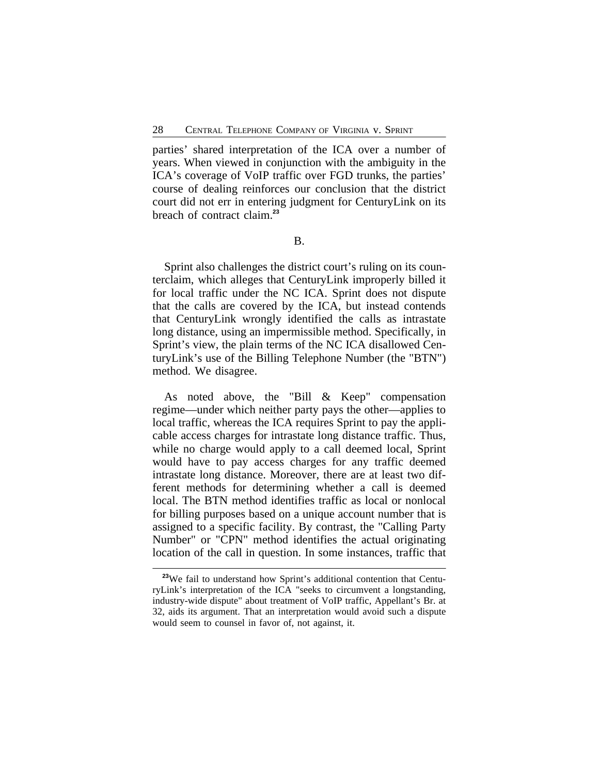parties' shared interpretation of the ICA over a number of years. When viewed in conjunction with the ambiguity in the ICA's coverage of VoIP traffic over FGD trunks, the parties' course of dealing reinforces our conclusion that the district court did not err in entering judgment for CenturyLink on its breach of contract claim.**<sup>23</sup>**

B.

Sprint also challenges the district court's ruling on its counterclaim, which alleges that CenturyLink improperly billed it for local traffic under the NC ICA. Sprint does not dispute that the calls are covered by the ICA, but instead contends that CenturyLink wrongly identified the calls as intrastate long distance, using an impermissible method. Specifically, in Sprint's view, the plain terms of the NC ICA disallowed CenturyLink's use of the Billing Telephone Number (the "BTN") method. We disagree.

As noted above, the "Bill & Keep" compensation regime—under which neither party pays the other—applies to local traffic, whereas the ICA requires Sprint to pay the applicable access charges for intrastate long distance traffic. Thus, while no charge would apply to a call deemed local, Sprint would have to pay access charges for any traffic deemed intrastate long distance. Moreover, there are at least two different methods for determining whether a call is deemed local. The BTN method identifies traffic as local or nonlocal for billing purposes based on a unique account number that is assigned to a specific facility. By contrast, the "Calling Party Number" or "CPN" method identifies the actual originating location of the call in question. In some instances, traffic that

<sup>&</sup>lt;sup>23</sup>We fail to understand how Sprint's additional contention that CenturyLink's interpretation of the ICA "seeks to circumvent a longstanding, industry-wide dispute" about treatment of VoIP traffic, Appellant's Br. at 32, aids its argument. That an interpretation would avoid such a dispute would seem to counsel in favor of, not against, it.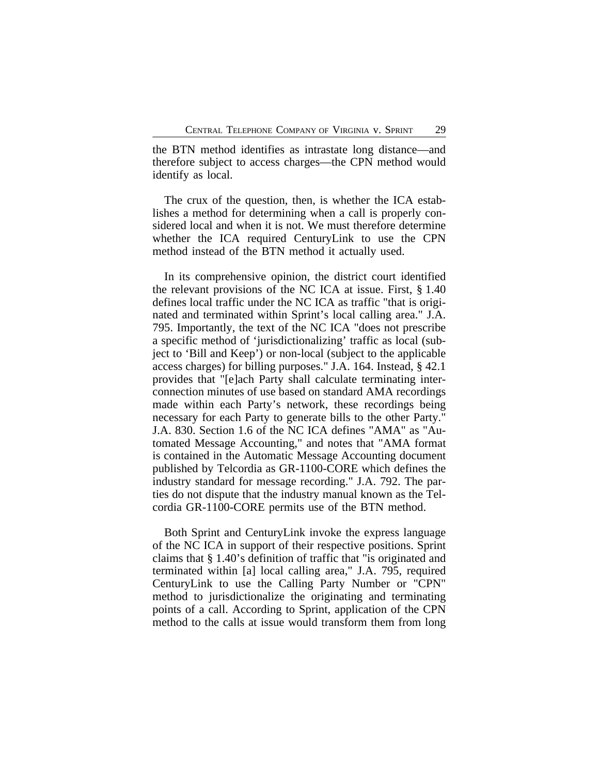the BTN method identifies as intrastate long distance—and therefore subject to access charges—the CPN method would identify as local.

The crux of the question, then, is whether the ICA establishes a method for determining when a call is properly considered local and when it is not. We must therefore determine whether the ICA required CenturyLink to use the CPN method instead of the BTN method it actually used.

In its comprehensive opinion, the district court identified the relevant provisions of the NC ICA at issue. First, § 1.40 defines local traffic under the NC ICA as traffic "that is originated and terminated within Sprint's local calling area." J.A. 795. Importantly, the text of the NC ICA "does not prescribe a specific method of 'jurisdictionalizing' traffic as local (subject to 'Bill and Keep') or non-local (subject to the applicable access charges) for billing purposes." J.A. 164. Instead, § 42.1 provides that "[e]ach Party shall calculate terminating interconnection minutes of use based on standard AMA recordings made within each Party's network, these recordings being necessary for each Party to generate bills to the other Party." J.A. 830. Section 1.6 of the NC ICA defines "AMA" as "Automated Message Accounting," and notes that "AMA format is contained in the Automatic Message Accounting document published by Telcordia as GR-1100-CORE which defines the industry standard for message recording." J.A. 792. The parties do not dispute that the industry manual known as the Telcordia GR-1100-CORE permits use of the BTN method.

Both Sprint and CenturyLink invoke the express language of the NC ICA in support of their respective positions. Sprint claims that § 1.40's definition of traffic that "is originated and terminated within [a] local calling area," J.A. 795, required CenturyLink to use the Calling Party Number or "CPN" method to jurisdictionalize the originating and terminating points of a call. According to Sprint, application of the CPN method to the calls at issue would transform them from long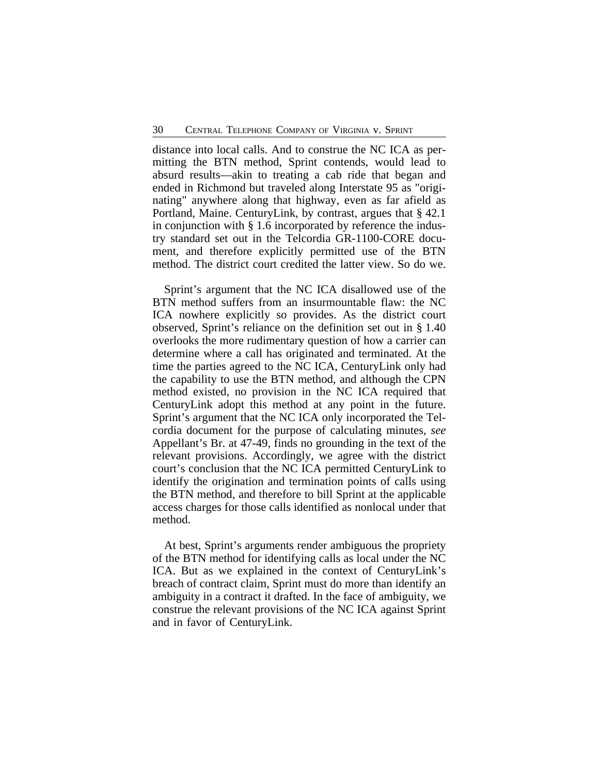distance into local calls. And to construe the NC ICA as permitting the BTN method, Sprint contends, would lead to absurd results—akin to treating a cab ride that began and ended in Richmond but traveled along Interstate 95 as "originating" anywhere along that highway, even as far afield as Portland, Maine. CenturyLink, by contrast, argues that § 42.1 in conjunction with § 1.6 incorporated by reference the industry standard set out in the Telcordia GR-1100-CORE document, and therefore explicitly permitted use of the BTN method. The district court credited the latter view. So do we.

Sprint's argument that the NC ICA disallowed use of the BTN method suffers from an insurmountable flaw: the NC ICA nowhere explicitly so provides. As the district court observed, Sprint's reliance on the definition set out in § 1.40 overlooks the more rudimentary question of how a carrier can determine where a call has originated and terminated. At the time the parties agreed to the NC ICA, CenturyLink only had the capability to use the BTN method, and although the CPN method existed, no provision in the NC ICA required that CenturyLink adopt this method at any point in the future. Sprint's argument that the NC ICA only incorporated the Telcordia document for the purpose of calculating minutes, *see* Appellant's Br. at 47-49, finds no grounding in the text of the relevant provisions. Accordingly, we agree with the district court's conclusion that the NC ICA permitted CenturyLink to identify the origination and termination points of calls using the BTN method, and therefore to bill Sprint at the applicable access charges for those calls identified as nonlocal under that method.

At best, Sprint's arguments render ambiguous the propriety of the BTN method for identifying calls as local under the NC ICA. But as we explained in the context of CenturyLink's breach of contract claim, Sprint must do more than identify an ambiguity in a contract it drafted. In the face of ambiguity, we construe the relevant provisions of the NC ICA against Sprint and in favor of CenturyLink.